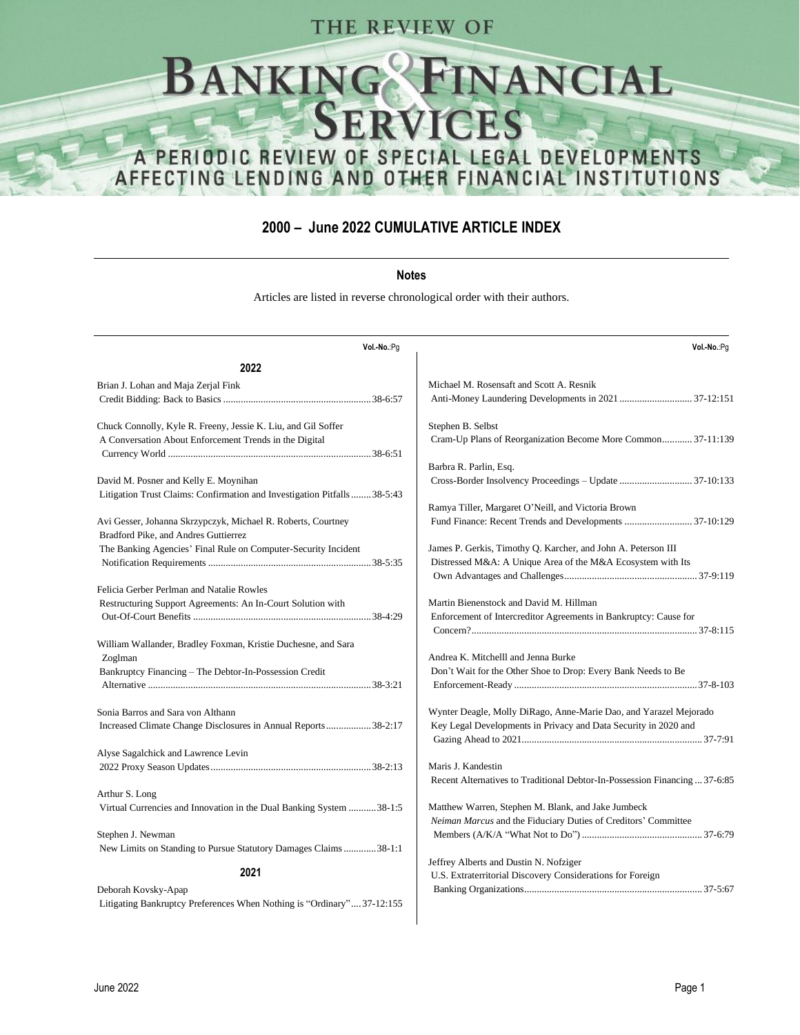## THE REVIEW OF

# INANCIAL<br>EES **BANKIN** FPVI A PERIODIC REVIEW OF SPECIAL LEGAL DEVELOPMENTS AFFECTING LENDING AND OTHER FINANCIAL INSTITUTIONS

#### **2000 – June 2022 CUMULATIVE ARTICLE INDEX**

#### **Notes**

Articles are listed in reverse chronological order with their authors.

| Vol.-No.:Pg                                                                                          | Vol.-No.:Pg                                                                |
|------------------------------------------------------------------------------------------------------|----------------------------------------------------------------------------|
| 2022                                                                                                 |                                                                            |
| Brian J. Lohan and Maja Zerjal Fink                                                                  | Michael M. Rosensaft and Scott A. Resnik                                   |
|                                                                                                      | Anti-Money Laundering Developments in 2021  37-12:151                      |
| Chuck Connolly, Kyle R. Freeny, Jessie K. Liu, and Gil Soffer                                        | Stephen B. Selbst                                                          |
| A Conversation About Enforcement Trends in the Digital                                               | Cram-Up Plans of Reorganization Become More Common 37-11:139               |
|                                                                                                      | Barbra R. Parlin, Esq.                                                     |
| David M. Posner and Kelly E. Moynihan                                                                |                                                                            |
| Litigation Trust Claims: Confirmation and Investigation Pitfalls 38-5:43                             |                                                                            |
|                                                                                                      | Ramya Tiller, Margaret O'Neill, and Victoria Brown                         |
| Avi Gesser, Johanna Skrzypczyk, Michael R. Roberts, Courtney<br>Bradford Pike, and Andres Guttierrez |                                                                            |
| The Banking Agencies' Final Rule on Computer-Security Incident                                       | James P. Gerkis, Timothy Q. Karcher, and John A. Peterson III              |
|                                                                                                      | Distressed M&A: A Unique Area of the M&A Ecosystem with Its                |
|                                                                                                      |                                                                            |
| Felicia Gerber Perlman and Natalie Rowles                                                            |                                                                            |
| Restructuring Support Agreements: An In-Court Solution with                                          | Martin Bienenstock and David M. Hillman                                    |
|                                                                                                      | Enforcement of Intercreditor Agreements in Bankruptcy: Cause for           |
|                                                                                                      |                                                                            |
| William Wallander, Bradley Foxman, Kristie Duchesne, and Sara                                        |                                                                            |
| Zoglman                                                                                              | Andrea K. Mitchelll and Jenna Burke                                        |
| Bankruptcy Financing - The Debtor-In-Possession Credit                                               | Don't Wait for the Other Shoe to Drop: Every Bank Needs to Be              |
|                                                                                                      |                                                                            |
| Sonia Barros and Sara von Althann                                                                    | Wynter Deagle, Molly DiRago, Anne-Marie Dao, and Yarazel Mejorado          |
| Increased Climate Change Disclosures in Annual Reports38-2:17                                        | Key Legal Developments in Privacy and Data Security in 2020 and            |
|                                                                                                      |                                                                            |
| Alyse Sagalchick and Lawrence Levin                                                                  |                                                                            |
|                                                                                                      | Maris J. Kandestin                                                         |
|                                                                                                      | Recent Alternatives to Traditional Debtor-In-Possession Financing  37-6:85 |
| Arthur S. Long                                                                                       |                                                                            |
| Virtual Currencies and Innovation in the Dual Banking System  38-1:5                                 | Matthew Warren, Stephen M. Blank, and Jake Jumbeck                         |
|                                                                                                      | Neiman Marcus and the Fiduciary Duties of Creditors' Committee             |
| Stephen J. Newman                                                                                    |                                                                            |
| New Limits on Standing to Pursue Statutory Damages Claims38-1:1                                      |                                                                            |
| 2021                                                                                                 | Jeffrey Alberts and Dustin N. Nofziger                                     |
|                                                                                                      | U.S. Extraterritorial Discovery Considerations for Foreign                 |
| Deborah Kovsky-Apap                                                                                  |                                                                            |
| Litigating Bankruptcy Preferences When Nothing is "Ordinary"37-12:155                                |                                                                            |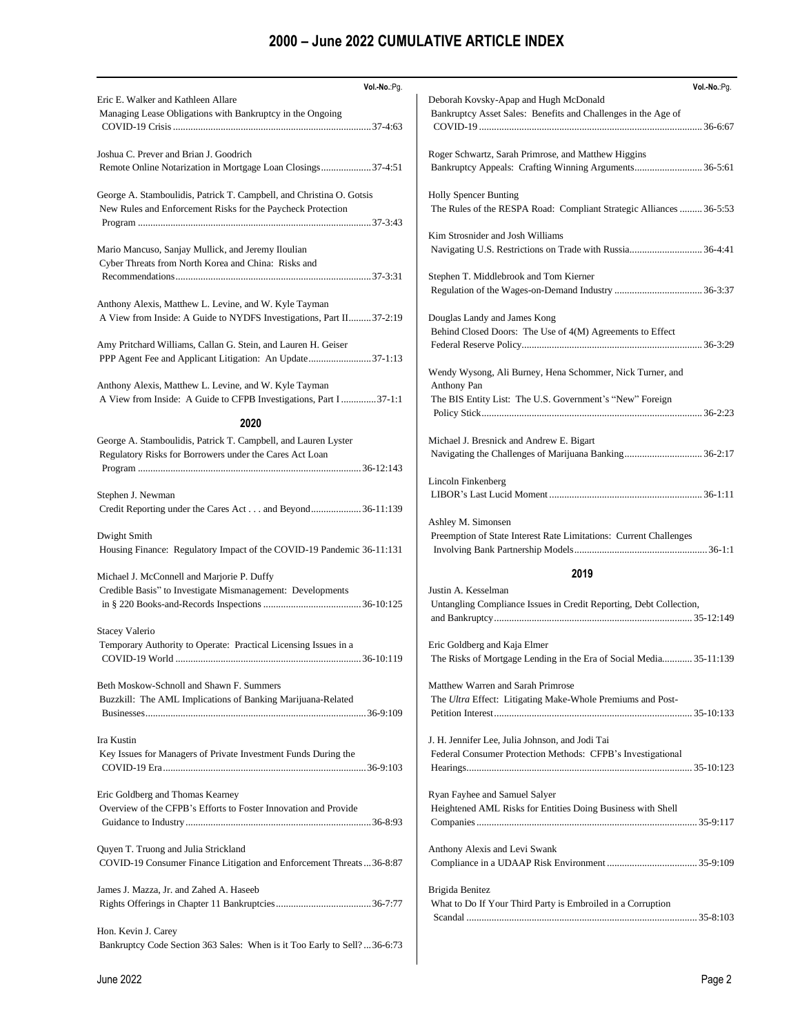| Vol.-No.:Pg.                                                                                                              | Vol .- No.: Pg.                                                                              |
|---------------------------------------------------------------------------------------------------------------------------|----------------------------------------------------------------------------------------------|
| Eric E. Walker and Kathleen Allare                                                                                        | Deborah Kovsky-Apap and Hugh McDonald                                                        |
| Managing Lease Obligations with Bankruptcy in the Ongoing                                                                 | Bankruptcy Asset Sales: Benefits and Challenges in the Age of                                |
|                                                                                                                           |                                                                                              |
| Joshua C. Prever and Brian J. Goodrich                                                                                    | Roger Schwartz, Sarah Primrose, and Matthew Higgins                                          |
| Remote Online Notarization in Mortgage Loan Closings37-4:51                                                               | Bankruptcy Appeals: Crafting Winning Arguments 36-5:61                                       |
| George A. Stamboulidis, Patrick T. Campbell, and Christina O. Gotsis                                                      | <b>Holly Spencer Bunting</b>                                                                 |
| New Rules and Enforcement Risks for the Paycheck Protection                                                               | The Rules of the RESPA Road: Compliant Strategic Alliances  36-5:53                          |
|                                                                                                                           |                                                                                              |
|                                                                                                                           | Kim Strosnider and Josh Williams                                                             |
| Mario Mancuso, Sanjay Mullick, and Jeremy Iloulian                                                                        | Navigating U.S. Restrictions on Trade with Russia 36-4:41                                    |
| Cyber Threats from North Korea and China: Risks and                                                                       |                                                                                              |
|                                                                                                                           | Stephen T. Middlebrook and Tom Kierner                                                       |
| Anthony Alexis, Matthew L. Levine, and W. Kyle Tayman                                                                     |                                                                                              |
| A View from Inside: A Guide to NYDFS Investigations, Part II 37-2:19                                                      | Douglas Landy and James Kong                                                                 |
|                                                                                                                           | Behind Closed Doors: The Use of 4(M) Agreements to Effect                                    |
| Amy Pritchard Williams, Callan G. Stein, and Lauren H. Geiser                                                             |                                                                                              |
| PPP Agent Fee and Applicant Litigation: An Update37-1:13                                                                  |                                                                                              |
|                                                                                                                           | Wendy Wysong, Ali Burney, Hena Schommer, Nick Turner, and                                    |
| Anthony Alexis, Matthew L. Levine, and W. Kyle Tayman                                                                     | Anthony Pan                                                                                  |
| A View from Inside: A Guide to CFPB Investigations, Part I 37-1:1                                                         | The BIS Entity List: The U.S. Government's "New" Foreign                                     |
| 2020                                                                                                                      |                                                                                              |
|                                                                                                                           | Michael J. Bresnick and Andrew E. Bigart                                                     |
| George A. Stamboulidis, Patrick T. Campbell, and Lauren Lyster<br>Regulatory Risks for Borrowers under the Cares Act Loan |                                                                                              |
|                                                                                                                           |                                                                                              |
|                                                                                                                           | Lincoln Finkenberg                                                                           |
| Stephen J. Newman                                                                                                         |                                                                                              |
| Credit Reporting under the Cares Act and Beyond36-11:139                                                                  |                                                                                              |
|                                                                                                                           | Ashley M. Simonsen                                                                           |
| Dwight Smith                                                                                                              | Preemption of State Interest Rate Limitations: Current Challenges                            |
| Housing Finance: Regulatory Impact of the COVID-19 Pandemic 36-11:131                                                     |                                                                                              |
| Michael J. McConnell and Marjorie P. Duffy                                                                                | 2019                                                                                         |
| Credible Basis" to Investigate Mismanagement: Developments                                                                | Justin A. Kesselman                                                                          |
|                                                                                                                           | Untangling Compliance Issues in Credit Reporting, Debt Collection,                           |
|                                                                                                                           |                                                                                              |
| <b>Stacey Valerio</b>                                                                                                     |                                                                                              |
| Temporary Authority to Operate: Practical Licensing Issues in a                                                           | Eric Goldberg and Kaja Elmer                                                                 |
|                                                                                                                           | The Risks of Mortgage Lending in the Era of Social Media 35-11:139                           |
| Beth Moskow-Schnoll and Shawn F. Summers                                                                                  | Matthew Warren and Sarah Primrose                                                            |
| Buzzkill: The AML Implications of Banking Marijuana-Related                                                               | The Ultra Effect: Litigating Make-Whole Premiums and Post-                                   |
|                                                                                                                           |                                                                                              |
|                                                                                                                           |                                                                                              |
| Ira Kustin                                                                                                                | J. H. Jennifer Lee, Julia Johnson, and Jodi Tai                                              |
| Key Issues for Managers of Private Investment Funds During the                                                            | Federal Consumer Protection Methods: CFPB's Investigational                                  |
|                                                                                                                           |                                                                                              |
|                                                                                                                           |                                                                                              |
| Eric Goldberg and Thomas Kearney<br>Overview of the CFPB's Efforts to Foster Innovation and Provide                       | Ryan Fayhee and Samuel Salyer<br>Heightened AML Risks for Entities Doing Business with Shell |
|                                                                                                                           |                                                                                              |
|                                                                                                                           |                                                                                              |
| Quyen T. Truong and Julia Strickland                                                                                      | Anthony Alexis and Levi Swank                                                                |
| COVID-19 Consumer Finance Litigation and Enforcement Threats  36-8:87                                                     |                                                                                              |
|                                                                                                                           |                                                                                              |
| James J. Mazza, Jr. and Zahed A. Haseeb                                                                                   | Brigida Benitez                                                                              |
|                                                                                                                           | What to Do If Your Third Party is Embroiled in a Corruption                                  |
|                                                                                                                           |                                                                                              |
| Hon. Kevin J. Carey<br>Bankruptcy Code Section 363 Sales: When is it Too Early to Sell?36-6:73                            |                                                                                              |
|                                                                                                                           |                                                                                              |
|                                                                                                                           |                                                                                              |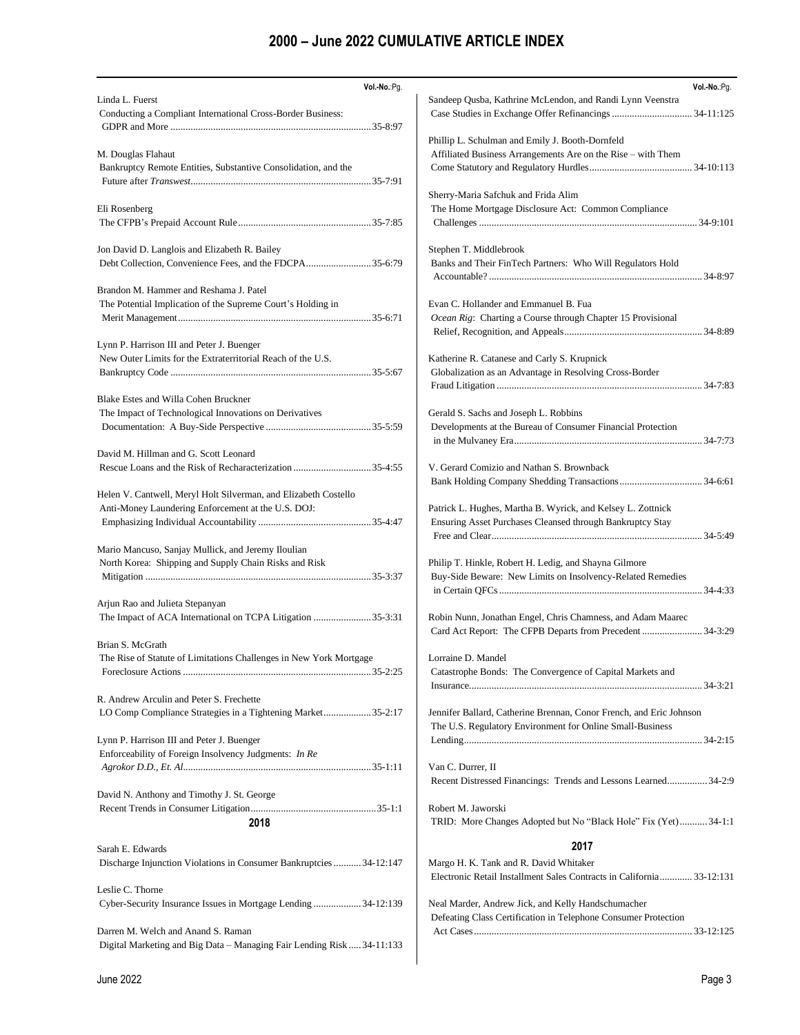| Vol .- No .: Pg.<br>Linda L. Fuerst                                                                     | Vol .- No.: Pg.<br>Sandeep Qusba, Kathrine McLendon, and Randi Lynn Veenstra                                        |
|---------------------------------------------------------------------------------------------------------|---------------------------------------------------------------------------------------------------------------------|
| Conducting a Compliant International Cross-Border Business:                                             |                                                                                                                     |
|                                                                                                         |                                                                                                                     |
|                                                                                                         | Phillip L. Schulman and Emily J. Booth-Dornfeld                                                                     |
| M. Douglas Flahaut                                                                                      | Affiliated Business Arrangements Are on the Rise - with Them                                                        |
| Bankruptcy Remote Entities, Substantive Consolidation, and the                                          |                                                                                                                     |
|                                                                                                         | Sherry-Maria Safchuk and Frida Alim                                                                                 |
| Eli Rosenberg                                                                                           | The Home Mortgage Disclosure Act: Common Compliance                                                                 |
|                                                                                                         |                                                                                                                     |
| Jon David D. Langlois and Elizabeth R. Bailey                                                           | Stephen T. Middlebrook                                                                                              |
| Debt Collection, Convenience Fees, and the FDCPA35-6:79                                                 | Banks and Their FinTech Partners: Who Will Regulators Hold                                                          |
|                                                                                                         |                                                                                                                     |
| Brandon M. Hammer and Reshama J. Patel                                                                  |                                                                                                                     |
| The Potential Implication of the Supreme Court's Holding in                                             | Evan C. Hollander and Emmanuel B. Fua<br>Ocean Rig: Charting a Course through Chapter 15 Provisional                |
|                                                                                                         |                                                                                                                     |
| Lynn P. Harrison III and Peter J. Buenger                                                               |                                                                                                                     |
| New Outer Limits for the Extraterritorial Reach of the U.S.                                             | Katherine R. Catanese and Carly S. Krupnick                                                                         |
|                                                                                                         | Globalization as an Advantage in Resolving Cross-Border                                                             |
| Blake Estes and Willa Cohen Bruckner                                                                    |                                                                                                                     |
| The Impact of Technological Innovations on Derivatives                                                  | Gerald S. Sachs and Joseph L. Robbins                                                                               |
|                                                                                                         | Developments at the Bureau of Consumer Financial Protection                                                         |
|                                                                                                         |                                                                                                                     |
| David M. Hillman and G. Scott Leonard                                                                   |                                                                                                                     |
|                                                                                                         | V. Gerard Comizio and Nathan S. Brownback                                                                           |
| Helen V. Cantwell, Meryl Holt Silverman, and Elizabeth Costello                                         |                                                                                                                     |
| Anti-Money Laundering Enforcement at the U.S. DOJ:                                                      | Patrick L. Hughes, Martha B. Wyrick, and Kelsey L. Zottnick                                                         |
|                                                                                                         | Ensuring Asset Purchases Cleansed through Bankruptcy Stay                                                           |
|                                                                                                         |                                                                                                                     |
| Mario Mancuso, Sanjay Mullick, and Jeremy Iloulian                                                      |                                                                                                                     |
| North Korea: Shipping and Supply Chain Risks and Risk                                                   | Philip T. Hinkle, Robert H. Ledig, and Shayna Gilmore<br>Buy-Side Beware: New Limits on Insolvency-Related Remedies |
|                                                                                                         |                                                                                                                     |
| Arjun Rao and Julieta Stepanyan                                                                         |                                                                                                                     |
| The Impact of ACA International on TCPA Litigation 35-3:31                                              | Robin Nunn, Jonathan Engel, Chris Chamness, and Adam Maarec                                                         |
| Brian S. McGrath                                                                                        | Card Act Report: The CFPB Departs from Precedent  34-3:29                                                           |
| The Rise of Statute of Limitations Challenges in New York Mortgage                                      | Lorraine D. Mandel                                                                                                  |
|                                                                                                         | Catastrophe Bonds: The Convergence of Capital Markets and                                                           |
|                                                                                                         |                                                                                                                     |
| R. Andrew Arculin and Peter S. Frechette<br>LO Comp Compliance Strategies in a Tightening Market35-2:17 | Jennifer Ballard, Catherine Brennan, Conor French, and Eric Johnson                                                 |
|                                                                                                         | The U.S. Regulatory Environment for Online Small-Business                                                           |
| Lynn P. Harrison III and Peter J. Buenger                                                               |                                                                                                                     |
| Enforceability of Foreign Insolvency Judgments: In Re                                                   |                                                                                                                     |
|                                                                                                         | Van C. Durrer, II                                                                                                   |
| David N. Anthony and Timothy J. St. George                                                              | Recent Distressed Financings: Trends and Lessons Learned 34-2:9                                                     |
|                                                                                                         | Robert M. Jaworski                                                                                                  |
| 2018                                                                                                    | TRID: More Changes Adopted but No "Black Hole" Fix (Yet) 34-1:1                                                     |
|                                                                                                         | 2017                                                                                                                |
| Sarah E. Edwards                                                                                        |                                                                                                                     |
| Discharge Injunction Violations in Consumer Bankruptcies34-12:147                                       | Margo H. K. Tank and R. David Whitaker<br>Electronic Retail Installment Sales Contracts in California 33-12:131     |
| Leslie C. Thorne                                                                                        |                                                                                                                     |
| Cyber-Security Insurance Issues in Mortgage Lending 34-12:139                                           | Neal Marder, Andrew Jick, and Kelly Handschumacher                                                                  |
|                                                                                                         | Defeating Class Certification in Telephone Consumer Protection                                                      |
| Darren M. Welch and Anand S. Raman                                                                      |                                                                                                                     |
| Digital Marketing and Big Data – Managing Fair Lending Risk  34-11:133                                  |                                                                                                                     |
|                                                                                                         |                                                                                                                     |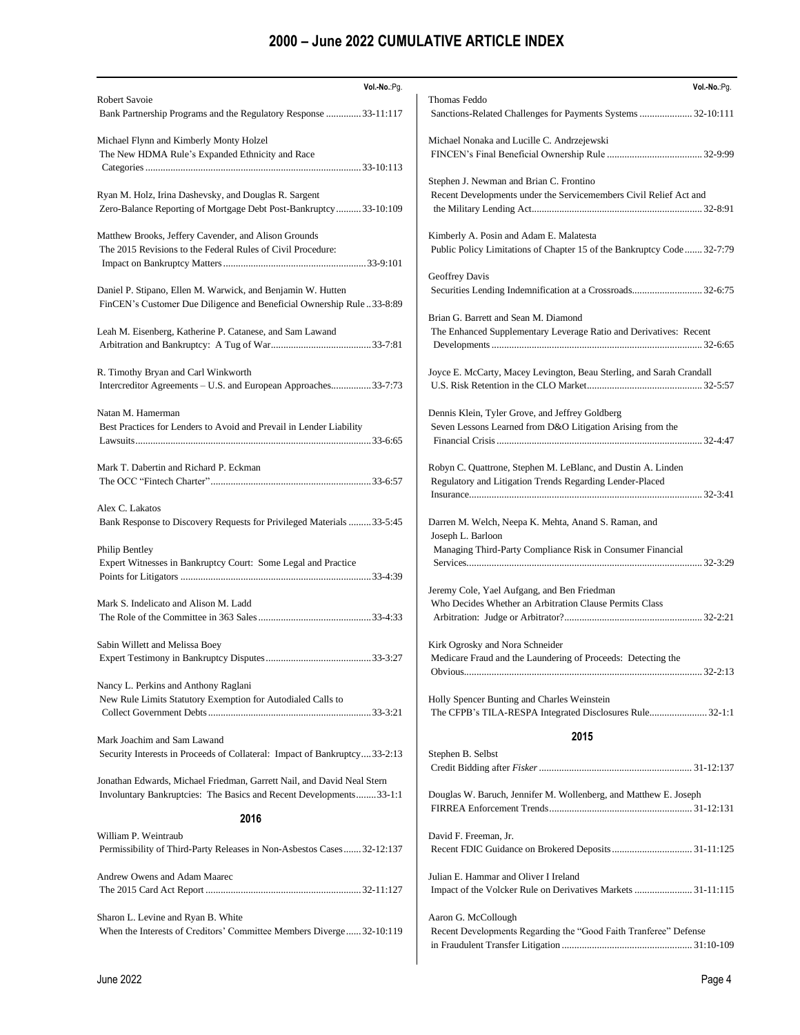| Vol.-No.:Pg.                                                                                          | Vol .- No.: Pg.                                                                                        |
|-------------------------------------------------------------------------------------------------------|--------------------------------------------------------------------------------------------------------|
| Robert Savoie                                                                                         | Thomas Feddo                                                                                           |
| Bank Partnership Programs and the Regulatory Response  33-11:117                                      | Sanctions-Related Challenges for Payments Systems  32-10:111                                           |
|                                                                                                       |                                                                                                        |
| Michael Flynn and Kimberly Monty Holzel<br>The New HDMA Rule's Expanded Ethnicity and Race            | Michael Nonaka and Lucille C. Andrzejewski                                                             |
|                                                                                                       |                                                                                                        |
|                                                                                                       | Stephen J. Newman and Brian C. Frontino                                                                |
| Ryan M. Holz, Irina Dashevsky, and Douglas R. Sargent                                                 | Recent Developments under the Servicemembers Civil Relief Act and                                      |
| Zero-Balance Reporting of Mortgage Debt Post-Bankruptcy 33-10:109                                     |                                                                                                        |
|                                                                                                       |                                                                                                        |
| Matthew Brooks, Jeffery Cavender, and Alison Grounds                                                  | Kimberly A. Posin and Adam E. Malatesta                                                                |
| The 2015 Revisions to the Federal Rules of Civil Procedure:                                           | Public Policy Limitations of Chapter 15 of the Bankruptcy Code32-7:79                                  |
|                                                                                                       |                                                                                                        |
|                                                                                                       | Geoffrey Davis                                                                                         |
| Daniel P. Stipano, Ellen M. Warwick, and Benjamin W. Hutten                                           | Securities Lending Indemnification at a Crossroads 32-6:75                                             |
| FinCEN's Customer Due Diligence and Beneficial Ownership Rule33-8:89                                  |                                                                                                        |
|                                                                                                       | Brian G. Barrett and Sean M. Diamond                                                                   |
| Leah M. Eisenberg, Katherine P. Catanese, and Sam Lawand                                              | The Enhanced Supplementary Leverage Ratio and Derivatives: Recent                                      |
|                                                                                                       |                                                                                                        |
|                                                                                                       |                                                                                                        |
| R. Timothy Bryan and Carl Winkworth<br>Intercreditor Agreements - U.S. and European Approaches33-7:73 | Joyce E. McCarty, Macey Levington, Beau Sterling, and Sarah Crandall                                   |
|                                                                                                       |                                                                                                        |
| Natan M. Hamerman                                                                                     | Dennis Klein, Tyler Grove, and Jeffrey Goldberg                                                        |
| Best Practices for Lenders to Avoid and Prevail in Lender Liability                                   | Seven Lessons Learned from D&O Litigation Arising from the                                             |
|                                                                                                       |                                                                                                        |
|                                                                                                       |                                                                                                        |
| Mark T. Dabertin and Richard P. Eckman                                                                | Robyn C. Quattrone, Stephen M. LeBlanc, and Dustin A. Linden                                           |
|                                                                                                       | Regulatory and Litigation Trends Regarding Lender-Placed                                               |
|                                                                                                       |                                                                                                        |
| Alex C. Lakatos                                                                                       |                                                                                                        |
| Bank Response to Discovery Requests for Privileged Materials 33-5:45                                  | Darren M. Welch, Neepa K. Mehta, Anand S. Raman, and                                                   |
|                                                                                                       | Joseph L. Barloon                                                                                      |
| Philip Bentley                                                                                        | Managing Third-Party Compliance Risk in Consumer Financial                                             |
| Expert Witnesses in Bankruptcy Court: Some Legal and Practice                                         |                                                                                                        |
|                                                                                                       |                                                                                                        |
| Mark S. Indelicato and Alison M. Ladd                                                                 | Jeremy Cole, Yael Aufgang, and Ben Friedman<br>Who Decides Whether an Arbitration Clause Permits Class |
|                                                                                                       |                                                                                                        |
|                                                                                                       |                                                                                                        |
| Sabin Willett and Melissa Boey                                                                        | Kirk Ogrosky and Nora Schneider                                                                        |
|                                                                                                       | Medicare Fraud and the Laundering of Proceeds: Detecting the                                           |
|                                                                                                       |                                                                                                        |
| Nancy L. Perkins and Anthony Raglani                                                                  |                                                                                                        |
| New Rule Limits Statutory Exemption for Autodialed Calls to                                           | Holly Spencer Bunting and Charles Weinstein                                                            |
|                                                                                                       | The CFPB's TILA-RESPA Integrated Disclosures Rule 32-1:1                                               |
|                                                                                                       |                                                                                                        |
| Mark Joachim and Sam Lawand                                                                           | 2015                                                                                                   |
| Security Interests in Proceeds of Collateral: Impact of Bankruptcy33-2:13                             | Stephen B. Selbst                                                                                      |
|                                                                                                       |                                                                                                        |
| Jonathan Edwards, Michael Friedman, Garrett Nail, and David Neal Stern                                |                                                                                                        |
| Involuntary Bankruptcies: The Basics and Recent Developments33-1:1                                    | Douglas W. Baruch, Jennifer M. Wollenberg, and Matthew E. Joseph                                       |
| 2016                                                                                                  |                                                                                                        |
| William P. Weintraub                                                                                  | David F. Freeman, Jr.                                                                                  |
| Permissibility of Third-Party Releases in Non-Asbestos Cases 32-12:137                                |                                                                                                        |
|                                                                                                       |                                                                                                        |
| Andrew Owens and Adam Maarec                                                                          | Julian E. Hammar and Oliver I Ireland                                                                  |
|                                                                                                       | Impact of the Volcker Rule on Derivatives Markets  31-11:115                                           |
|                                                                                                       |                                                                                                        |
| Sharon L. Levine and Ryan B. White                                                                    | Aaron G. McCollough                                                                                    |
| When the Interests of Creditors' Committee Members Diverge32-10:119                                   | Recent Developments Regarding the "Good Faith Tranferee" Defense                                       |
|                                                                                                       |                                                                                                        |
|                                                                                                       |                                                                                                        |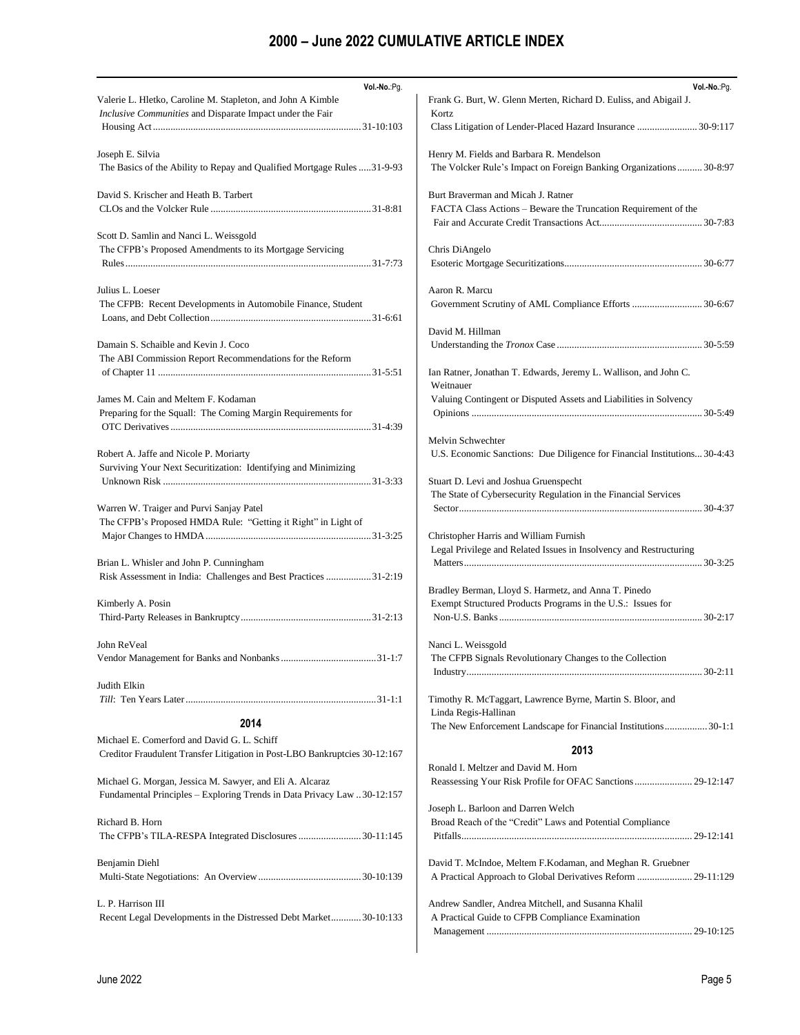| Vol .- No .: Pg.                                                                                                                    | Vol .- No.: Pg.                                                                                          |
|-------------------------------------------------------------------------------------------------------------------------------------|----------------------------------------------------------------------------------------------------------|
| Valerie L. Hletko, Caroline M. Stapleton, and John A Kimble                                                                         | Frank G. Burt, W. Glenn Merten, Richard D. Euliss, and Abigail J.                                        |
| Inclusive Communities and Disparate Impact under the Fair                                                                           | Kortz                                                                                                    |
|                                                                                                                                     | Class Litigation of Lender-Placed Hazard Insurance  30-9:117                                             |
| Joseph E. Silvia                                                                                                                    | Henry M. Fields and Barbara R. Mendelson                                                                 |
| The Basics of the Ability to Repay and Qualified Mortgage Rules 31-9-93                                                             | The Volcker Rule's Impact on Foreign Banking Organizations  30-8:97                                      |
| David S. Krischer and Heath B. Tarbert                                                                                              | Burt Braverman and Micah J. Ratner<br>FACTA Class Actions - Beware the Truncation Requirement of the     |
| Scott D. Samlin and Nanci L. Weissgold<br>The CFPB's Proposed Amendments to its Mortgage Servicing                                  | Chris DiAngelo                                                                                           |
| Julius L. Loeser<br>The CFPB: Recent Developments in Automobile Finance, Student                                                    | Aaron R. Marcu<br>Government Scrutiny of AML Compliance Efforts  30-6:67                                 |
| Damain S. Schaible and Kevin J. Coco                                                                                                | David M. Hillman                                                                                         |
| The ABI Commission Report Recommendations for the Reform                                                                            |                                                                                                          |
|                                                                                                                                     | Ian Ratner, Jonathan T. Edwards, Jeremy L. Wallison, and John C.<br>Weitnauer                            |
| James M. Cain and Meltem F. Kodaman                                                                                                 | Valuing Contingent or Disputed Assets and Liabilities in Solvency                                        |
| Preparing for the Squall: The Coming Margin Requirements for                                                                        |                                                                                                          |
|                                                                                                                                     | Melvin Schwechter                                                                                        |
| Robert A. Jaffe and Nicole P. Moriarty<br>Surviving Your Next Securitization: Identifying and Minimizing                            | U.S. Economic Sanctions: Due Diligence for Financial Institutions 30-4:43                                |
| Warren W. Traiger and Purvi Sanjay Patel                                                                                            | Stuart D. Levi and Joshua Gruenspecht<br>The State of Cybersecurity Regulation in the Financial Services |
| The CFPB's Proposed HMDA Rule: "Getting it Right" in Light of                                                                       | Christopher Harris and William Furnish                                                                   |
|                                                                                                                                     | Legal Privilege and Related Issues in Insolvency and Restructuring                                       |
| Brian L. Whisler and John P. Cunningham                                                                                             |                                                                                                          |
| Risk Assessment in India: Challenges and Best Practices 31-2:19                                                                     | Bradley Berman, Lloyd S. Harmetz, and Anna T. Pinedo                                                     |
| Kimberly A. Posin                                                                                                                   | Exempt Structured Products Programs in the U.S.: Issues for                                              |
|                                                                                                                                     |                                                                                                          |
| John ReVeal                                                                                                                         | Nanci L. Weissgold<br>The CFPB Signals Revolutionary Changes to the Collection                           |
| Judith Elkin                                                                                                                        | Timothy R. McTaggart, Lawrence Byrne, Martin S. Bloor, and                                               |
|                                                                                                                                     | Linda Regis-Hallinan                                                                                     |
| 2014<br>Michael E. Comerford and David G. L. Schiff<br>Creditor Fraudulent Transfer Litigation in Post-LBO Bankruptcies 30-12:167   | The New Enforcement Landscape for Financial Institutions 30-1:1<br>2013                                  |
| Michael G. Morgan, Jessica M. Sawyer, and Eli A. Alcaraz<br>Fundamental Principles – Exploring Trends in Data Privacy Law 30-12:157 | Ronald I. Meltzer and David M. Horn<br>Joseph L. Barloon and Darren Welch                                |
| Richard B. Horn                                                                                                                     | Broad Reach of the "Credit" Laws and Potential Compliance                                                |
|                                                                                                                                     |                                                                                                          |
| Benjamin Diehl                                                                                                                      | David T. McIndoe, Meltem F.Kodaman, and Meghan R. Gruebner                                               |
|                                                                                                                                     | A Practical Approach to Global Derivatives Reform  29-11:129                                             |
| L. P. Harrison III<br>Recent Legal Developments in the Distressed Debt Market30-10:133                                              | Andrew Sandler, Andrea Mitchell, and Susanna Khalil<br>A Practical Guide to CFPB Compliance Examination  |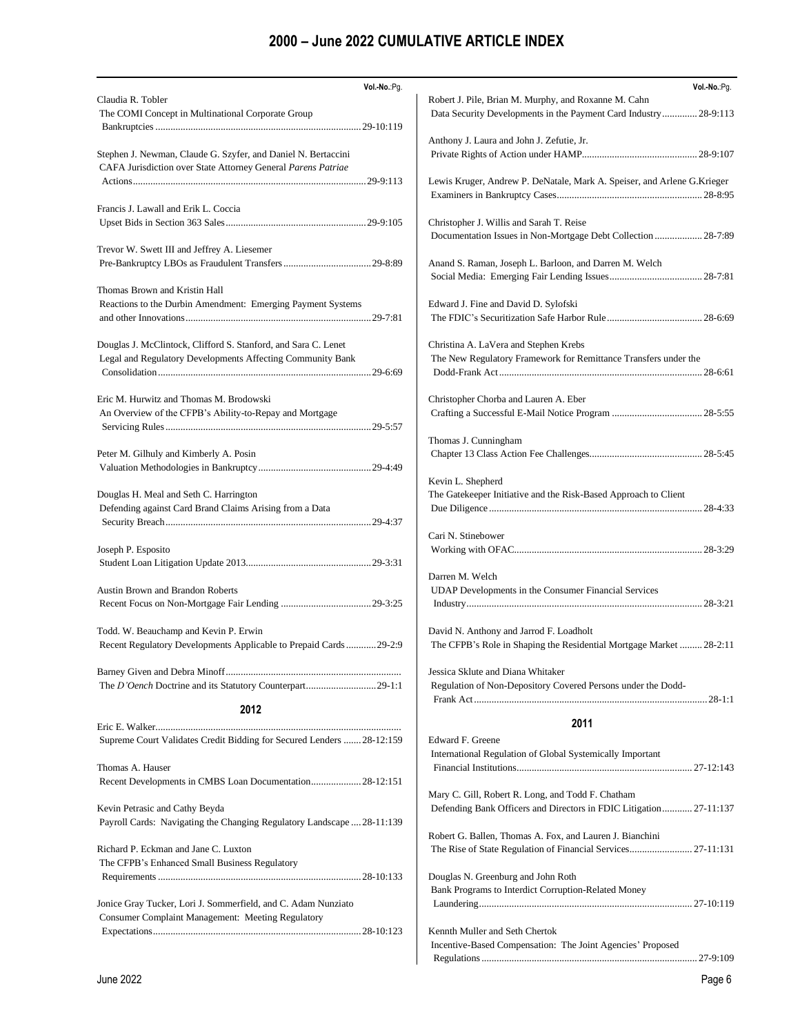| Vol .- No .: Pg.                                                                                                              | Vol.-No.:Pg.                                                             |
|-------------------------------------------------------------------------------------------------------------------------------|--------------------------------------------------------------------------|
| Claudia R. Tobler                                                                                                             | Robert J. Pile, Brian M. Murphy, and Roxanne M. Cahn                     |
| The COMI Concept in Multinational Corporate Group                                                                             | Data Security Developments in the Payment Card Industry 28-9:113         |
|                                                                                                                               |                                                                          |
|                                                                                                                               | Anthony J. Laura and John J. Zefutie, Jr.                                |
| Stephen J. Newman, Claude G. Szyfer, and Daniel N. Bertaccini<br>CAFA Jurisdiction over State Attorney General Parens Patriae |                                                                          |
|                                                                                                                               | Lewis Kruger, Andrew P. DeNatale, Mark A. Speiser, and Arlene G. Krieger |
|                                                                                                                               |                                                                          |
| Francis J. Lawall and Erik L. Coccia                                                                                          |                                                                          |
|                                                                                                                               | Christopher J. Willis and Sarah T. Reise                                 |
|                                                                                                                               | Documentation Issues in Non-Mortgage Debt Collection  28-7:89            |
| Trevor W. Swett III and Jeffrey A. Liesemer                                                                                   |                                                                          |
|                                                                                                                               | Anand S. Raman, Joseph L. Barloon, and Darren M. Welch                   |
|                                                                                                                               |                                                                          |
| Thomas Brown and Kristin Hall                                                                                                 |                                                                          |
| Reactions to the Durbin Amendment: Emerging Payment Systems                                                                   | Edward J. Fine and David D. Sylofski                                     |
|                                                                                                                               |                                                                          |
|                                                                                                                               |                                                                          |
| Douglas J. McClintock, Clifford S. Stanford, and Sara C. Lenet                                                                | Christina A. LaVera and Stephen Krebs                                    |
| Legal and Regulatory Developments Affecting Community Bank                                                                    | The New Regulatory Framework for Remittance Transfers under the          |
|                                                                                                                               |                                                                          |
| Eric M. Hurwitz and Thomas M. Brodowski                                                                                       | Christopher Chorba and Lauren A. Eber                                    |
| An Overview of the CFPB's Ability-to-Repay and Mortgage                                                                       |                                                                          |
|                                                                                                                               |                                                                          |
|                                                                                                                               | Thomas J. Cunningham                                                     |
| Peter M. Gilhuly and Kimberly A. Posin                                                                                        |                                                                          |
|                                                                                                                               |                                                                          |
|                                                                                                                               | Kevin L. Shepherd                                                        |
| Douglas H. Meal and Seth C. Harrington                                                                                        | The Gatekeeper Initiative and the Risk-Based Approach to Client          |
| Defending against Card Brand Claims Arising from a Data                                                                       |                                                                          |
|                                                                                                                               |                                                                          |
|                                                                                                                               | Cari N. Stinebower                                                       |
| Joseph P. Esposito                                                                                                            |                                                                          |
|                                                                                                                               |                                                                          |
|                                                                                                                               | Darren M. Welch                                                          |
| <b>Austin Brown and Brandon Roberts</b>                                                                                       | UDAP Developments in the Consumer Financial Services                     |
|                                                                                                                               |                                                                          |
| Todd. W. Beauchamp and Kevin P. Erwin                                                                                         | David N. Anthony and Jarrod F. Loadholt                                  |
| Recent Regulatory Developments Applicable to Prepaid Cards29-2:9                                                              | The CFPB's Role in Shaping the Residential Mortgage Market  28-2:11      |
|                                                                                                                               |                                                                          |
|                                                                                                                               | Jessica Sklute and Diana Whitaker                                        |
|                                                                                                                               | Regulation of Non-Depository Covered Persons under the Dodd-             |
|                                                                                                                               |                                                                          |
| 2012                                                                                                                          |                                                                          |
|                                                                                                                               | 2011                                                                     |
| Supreme Court Validates Credit Bidding for Secured Lenders  28-12:159                                                         | Edward F. Greene                                                         |
|                                                                                                                               | International Regulation of Global Systemically Important                |
| Thomas A. Hauser                                                                                                              |                                                                          |
| Recent Developments in CMBS Loan Documentation 28-12:151                                                                      |                                                                          |
|                                                                                                                               | Mary C. Gill, Robert R. Long, and Todd F. Chatham                        |
| Kevin Petrasic and Cathy Beyda                                                                                                | Defending Bank Officers and Directors in FDIC Litigation 27-11:137       |
| Payroll Cards: Navigating the Changing Regulatory Landscape  28-11:139                                                        | Robert G. Ballen, Thomas A. Fox, and Lauren J. Bianchini                 |
| Richard P. Eckman and Jane C. Luxton                                                                                          | The Rise of State Regulation of Financial Services 27-11:131             |
| The CFPB's Enhanced Small Business Regulatory                                                                                 |                                                                          |
|                                                                                                                               | Douglas N. Greenburg and John Roth                                       |
|                                                                                                                               | Bank Programs to Interdict Corruption-Related Money                      |
| Jonice Gray Tucker, Lori J. Sommerfield, and C. Adam Nunziato                                                                 |                                                                          |
| <b>Consumer Complaint Management: Meeting Regulatory</b>                                                                      |                                                                          |
|                                                                                                                               | Kennth Muller and Seth Chertok                                           |
|                                                                                                                               | Incentive-Based Compensation: The Joint Agencies' Proposed               |
|                                                                                                                               |                                                                          |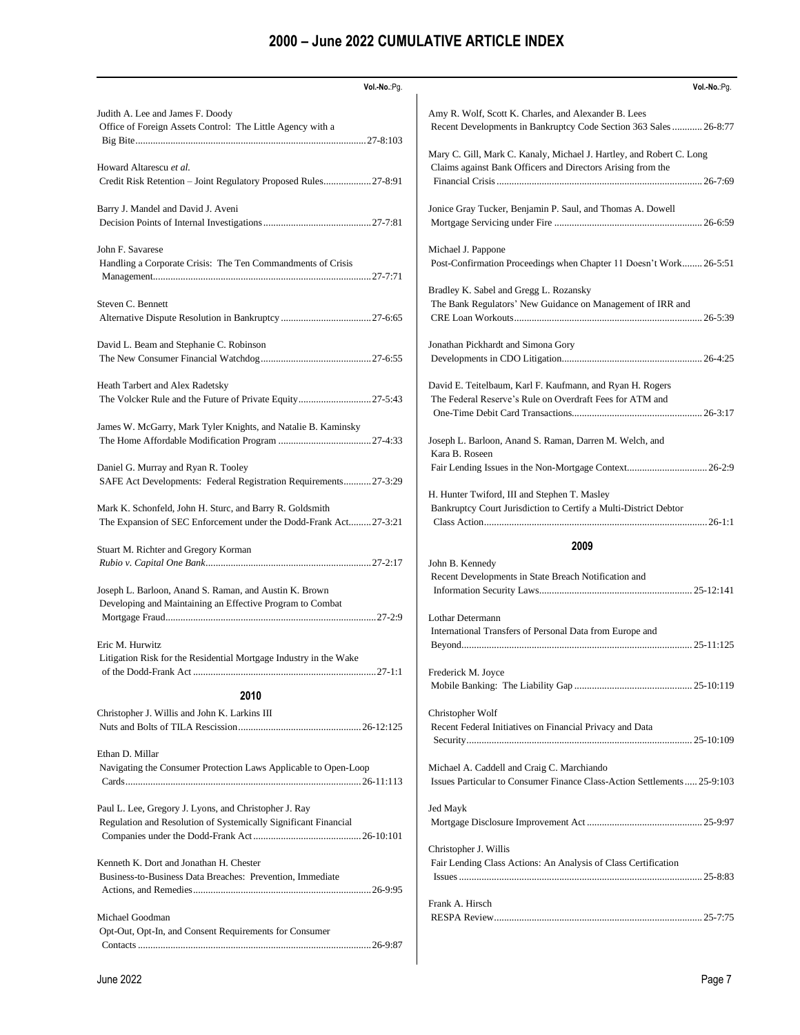| Vol .- No .: Pg.                                                                                                             | Vol.-No.:Pg.                                                                                                          |
|------------------------------------------------------------------------------------------------------------------------------|-----------------------------------------------------------------------------------------------------------------------|
| Judith A. Lee and James F. Doody                                                                                             | Amy R. Wolf, Scott K. Charles, and Alexander B. Lees                                                                  |
| Office of Foreign Assets Control: The Little Agency with a                                                                   | Recent Developments in Bankruptcy Code Section 363 Sales  26-8:77                                                     |
|                                                                                                                              |                                                                                                                       |
|                                                                                                                              | Mary C. Gill, Mark C. Kanaly, Michael J. Hartley, and Robert C. Long                                                  |
| Howard Altarescu et al.                                                                                                      | Claims against Bank Officers and Directors Arising from the                                                           |
| Credit Risk Retention - Joint Regulatory Proposed Rules27-8:91                                                               |                                                                                                                       |
| Barry J. Mandel and David J. Aveni                                                                                           | Jonice Gray Tucker, Benjamin P. Saul, and Thomas A. Dowell                                                            |
|                                                                                                                              |                                                                                                                       |
|                                                                                                                              |                                                                                                                       |
| John F. Savarese                                                                                                             | Michael J. Pappone                                                                                                    |
| Handling a Corporate Crisis: The Ten Commandments of Crisis                                                                  | Post-Confirmation Proceedings when Chapter 11 Doesn't Work 26-5:51                                                    |
|                                                                                                                              | Bradley K. Sabel and Gregg L. Rozansky                                                                                |
| Steven C. Bennett                                                                                                            | The Bank Regulators' New Guidance on Management of IRR and                                                            |
|                                                                                                                              |                                                                                                                       |
|                                                                                                                              |                                                                                                                       |
| David L. Beam and Stephanie C. Robinson                                                                                      | Jonathan Pickhardt and Simona Gory                                                                                    |
|                                                                                                                              |                                                                                                                       |
|                                                                                                                              |                                                                                                                       |
| Heath Tarbert and Alex Radetsky<br>The Volcker Rule and the Future of Private Equity27-5:43                                  | David E. Teitelbaum, Karl F. Kaufmann, and Ryan H. Rogers<br>The Federal Reserve's Rule on Overdraft Fees for ATM and |
|                                                                                                                              |                                                                                                                       |
| James W. McGarry, Mark Tyler Knights, and Natalie B. Kaminsky                                                                |                                                                                                                       |
|                                                                                                                              | Joseph L. Barloon, Anand S. Raman, Darren M. Welch, and                                                               |
|                                                                                                                              | Kara B. Roseen                                                                                                        |
| Daniel G. Murray and Ryan R. Tooley                                                                                          |                                                                                                                       |
| SAFE Act Developments: Federal Registration Requirements 27-3:29                                                             |                                                                                                                       |
|                                                                                                                              | H. Hunter Twiford, III and Stephen T. Masley<br>Bankruptcy Court Jurisdiction to Certify a Multi-District Debtor      |
| Mark K. Schonfeld, John H. Sturc, and Barry R. Goldsmith<br>The Expansion of SEC Enforcement under the Dodd-Frank Act27-3:21 |                                                                                                                       |
|                                                                                                                              |                                                                                                                       |
| Stuart M. Richter and Gregory Korman                                                                                         | 2009                                                                                                                  |
|                                                                                                                              | John B. Kennedy                                                                                                       |
|                                                                                                                              | Recent Developments in State Breach Notification and                                                                  |
| Joseph L. Barloon, Anand S. Raman, and Austin K. Brown                                                                       |                                                                                                                       |
| Developing and Maintaining an Effective Program to Combat                                                                    | Lothar Determann                                                                                                      |
|                                                                                                                              | International Transfers of Personal Data from Europe and                                                              |
| Eric M. Hurwitz                                                                                                              |                                                                                                                       |
| Litigation Risk for the Residential Mortgage Industry in the Wake                                                            |                                                                                                                       |
|                                                                                                                              | Frederick M. Joyce                                                                                                    |
| 2010                                                                                                                         |                                                                                                                       |
|                                                                                                                              |                                                                                                                       |
| Christopher J. Willis and John K. Larkins III                                                                                | Christopher Wolf<br>Recent Federal Initiatives on Financial Privacy and Data                                          |
|                                                                                                                              |                                                                                                                       |
| Ethan D. Millar                                                                                                              |                                                                                                                       |
| Navigating the Consumer Protection Laws Applicable to Open-Loop                                                              | Michael A. Caddell and Craig C. Marchiando                                                                            |
|                                                                                                                              | Issues Particular to Consumer Finance Class-Action Settlements  25-9:103                                              |
|                                                                                                                              |                                                                                                                       |
| Paul L. Lee, Gregory J. Lyons, and Christopher J. Ray                                                                        | Jed Mayk                                                                                                              |
| Regulation and Resolution of Systemically Significant Financial                                                              |                                                                                                                       |
|                                                                                                                              | Christopher J. Willis                                                                                                 |
| Kenneth K. Dort and Jonathan H. Chester                                                                                      | Fair Lending Class Actions: An Analysis of Class Certification                                                        |
| Business-to-Business Data Breaches: Prevention, Immediate                                                                    |                                                                                                                       |
|                                                                                                                              |                                                                                                                       |
|                                                                                                                              | Frank A. Hirsch                                                                                                       |
| Michael Goodman                                                                                                              |                                                                                                                       |
| Opt-Out, Opt-In, and Consent Requirements for Consumer                                                                       |                                                                                                                       |
|                                                                                                                              |                                                                                                                       |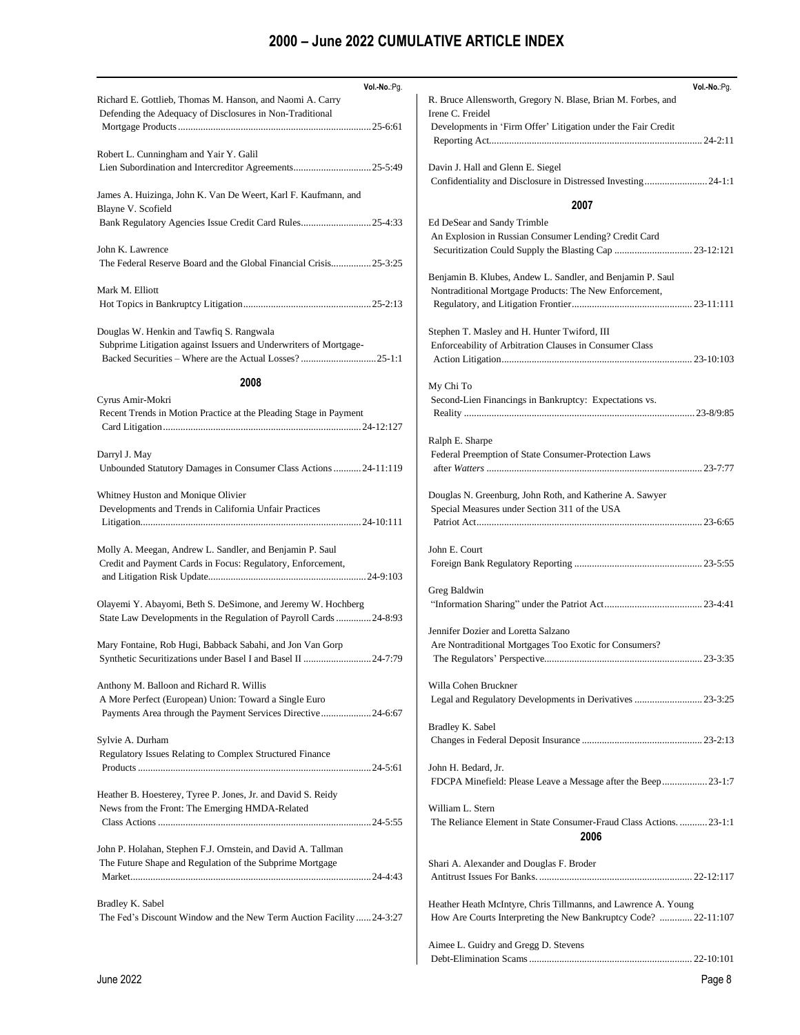| Vol.-No.:Pg.                                                                                                                       | Vol.-No.:Pg.                                                                                       |
|------------------------------------------------------------------------------------------------------------------------------------|----------------------------------------------------------------------------------------------------|
| Richard E. Gottlieb, Thomas M. Hanson, and Naomi A. Carry<br>Defending the Adequacy of Disclosures in Non-Traditional              | R. Bruce Allensworth, Gregory N. Blase, Brian M. Forbes, and<br>Irene C. Freidel                   |
|                                                                                                                                    | Developments in 'Firm Offer' Litigation under the Fair Credit                                      |
| Robert L. Cunningham and Yair Y. Galil                                                                                             |                                                                                                    |
|                                                                                                                                    | Davin J. Hall and Glenn E. Siegel<br>Confidentiality and Disclosure in Distressed Investing 24-1:1 |
| James A. Huizinga, John K. Van De Weert, Karl F. Kaufmann, and                                                                     |                                                                                                    |
| Blayne V. Scofield                                                                                                                 | 2007                                                                                               |
|                                                                                                                                    | Ed DeSear and Sandy Trimble                                                                        |
| John K. Lawrence                                                                                                                   | An Explosion in Russian Consumer Lending? Credit Card                                              |
| The Federal Reserve Board and the Global Financial Crisis25-3:25                                                                   |                                                                                                    |
|                                                                                                                                    | Benjamin B. Klubes, Andew L. Sandler, and Benjamin P. Saul                                         |
| Mark M. Elliott                                                                                                                    | Nontraditional Mortgage Products: The New Enforcement,                                             |
|                                                                                                                                    |                                                                                                    |
|                                                                                                                                    |                                                                                                    |
| Douglas W. Henkin and Tawfiq S. Rangwala                                                                                           | Stephen T. Masley and H. Hunter Twiford, III                                                       |
| Subprime Litigation against Issuers and Underwriters of Mortgage-                                                                  | Enforceability of Arbitration Clauses in Consumer Class                                            |
| Backed Securities – Where are the Actual Losses?25-1:1                                                                             |                                                                                                    |
| 2008                                                                                                                               | My Chi To                                                                                          |
| Cyrus Amir-Mokri                                                                                                                   | Second-Lien Financings in Bankruptcy: Expectations vs.                                             |
| Recent Trends in Motion Practice at the Pleading Stage in Payment                                                                  |                                                                                                    |
|                                                                                                                                    |                                                                                                    |
|                                                                                                                                    | Ralph E. Sharpe                                                                                    |
| Darryl J. May                                                                                                                      | Federal Preemption of State Consumer-Protection Laws                                               |
| Unbounded Statutory Damages in Consumer Class Actions  24-11:119                                                                   |                                                                                                    |
| Whitney Huston and Monique Olivier                                                                                                 | Douglas N. Greenburg, John Roth, and Katherine A. Sawyer                                           |
| Developments and Trends in California Unfair Practices                                                                             | Special Measures under Section 311 of the USA                                                      |
|                                                                                                                                    |                                                                                                    |
|                                                                                                                                    |                                                                                                    |
| Molly A. Meegan, Andrew L. Sandler, and Benjamin P. Saul                                                                           | John E. Court                                                                                      |
| Credit and Payment Cards in Focus: Regulatory, Enforcement,                                                                        |                                                                                                    |
|                                                                                                                                    |                                                                                                    |
|                                                                                                                                    | Greg Baldwin                                                                                       |
| Olayemi Y. Abayomi, Beth S. DeSimone, and Jeremy W. Hochberg<br>State Law Developments in the Regulation of Payroll Cards  24-8:93 |                                                                                                    |
|                                                                                                                                    | Jennifer Dozier and Loretta Salzano                                                                |
| Mary Fontaine, Rob Hugi, Babback Sabahi, and Jon Van Gorp                                                                          | Are Nontraditional Mortgages Too Exotic for Consumers?                                             |
| Synthetic Securitizations under Basel I and Basel II 24-7:79                                                                       |                                                                                                    |
|                                                                                                                                    |                                                                                                    |
| Anthony M. Balloon and Richard R. Willis                                                                                           | Willa Cohen Bruckner                                                                               |
| A More Perfect (European) Union: Toward a Single Euro                                                                              |                                                                                                    |
| Payments Area through the Payment Services Directive24-6:67                                                                        |                                                                                                    |
|                                                                                                                                    | Bradley K. Sabel                                                                                   |
| Sylvie A. Durham<br>Regulatory Issues Relating to Complex Structured Finance                                                       |                                                                                                    |
|                                                                                                                                    | John H. Bedard, Jr.                                                                                |
|                                                                                                                                    | FDCPA Minefield: Please Leave a Message after the Beep 23-1:7                                      |
| Heather B. Hoesterey, Tyree P. Jones, Jr. and David S. Reidy                                                                       |                                                                                                    |
| News from the Front: The Emerging HMDA-Related                                                                                     | William L. Stern                                                                                   |
|                                                                                                                                    | The Reliance Element in State Consumer-Fraud Class Actions.  23-1:1                                |
|                                                                                                                                    | 2006                                                                                               |
| John P. Holahan, Stephen F.J. Ornstein, and David A. Tallman                                                                       |                                                                                                    |
| The Future Shape and Regulation of the Subprime Mortgage                                                                           | Shari A. Alexander and Douglas F. Broder                                                           |
|                                                                                                                                    |                                                                                                    |
| Bradley K. Sabel                                                                                                                   | Heather Heath McIntyre, Chris Tillmanns, and Lawrence A. Young                                     |
| The Fed's Discount Window and the New Term Auction Facility24-3:27                                                                 | How Are Courts Interpreting the New Bankruptcy Code?  22-11:107                                    |
|                                                                                                                                    |                                                                                                    |
|                                                                                                                                    | Aimee L. Guidry and Gregg D. Stevens                                                               |
|                                                                                                                                    |                                                                                                    |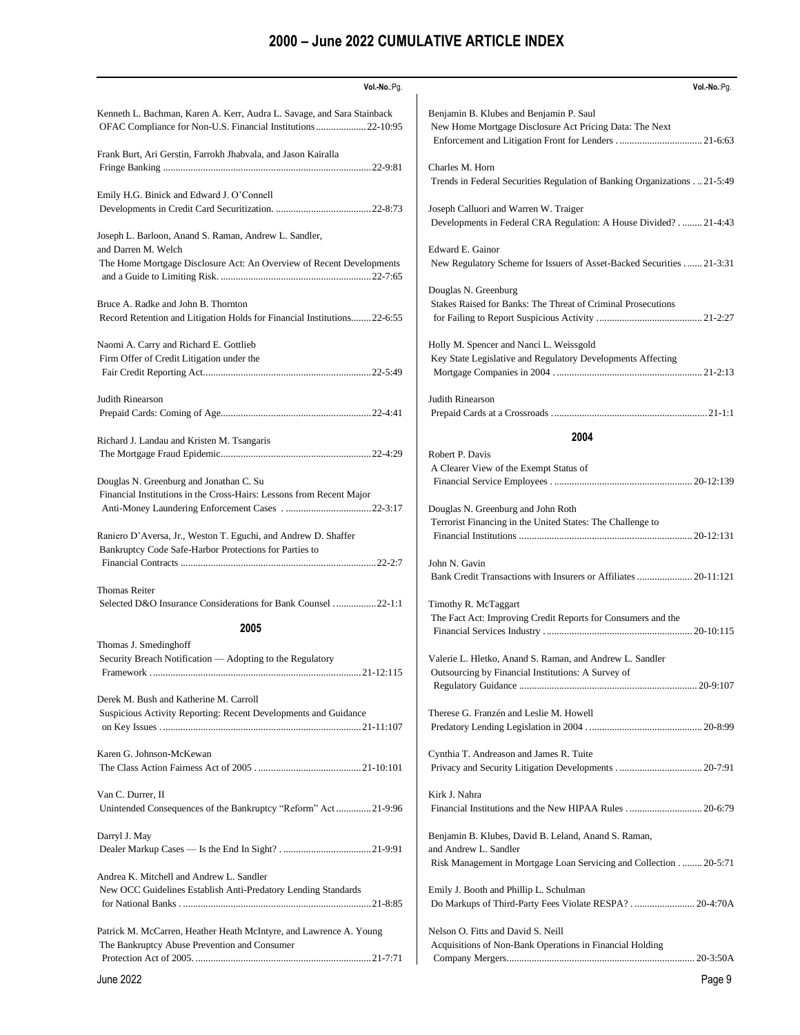| Vol.-No.:Pg.                                                                       | Vol.-No.:Pg.                                                                                     |
|------------------------------------------------------------------------------------|--------------------------------------------------------------------------------------------------|
|                                                                                    |                                                                                                  |
| Kenneth L. Bachman, Karen A. Kerr, Audra L. Savage, and Sara Stainback             | Benjamin B. Klubes and Benjamin P. Saul                                                          |
| OFAC Compliance for Non-U.S. Financial Institutions  22-10:95                      | New Home Mortgage Disclosure Act Pricing Data: The Next                                          |
|                                                                                    |                                                                                                  |
| Frank Burt, Ari Gerstin, Farrokh Jhabvala, and Jason Kairalla                      |                                                                                                  |
|                                                                                    | Charles M. Horn                                                                                  |
| Emily H.G. Binick and Edward J. O'Connell                                          | Trends in Federal Securities Regulation of Banking Organizations 21-5:49                         |
|                                                                                    | Joseph Calluori and Warren W. Traiger                                                            |
|                                                                                    | Developments in Federal CRA Regulation: A House Divided? 21-4:43                                 |
| Joseph L. Barloon, Anand S. Raman, Andrew L. Sandler,                              |                                                                                                  |
| and Darren M. Welch                                                                | Edward E. Gainor                                                                                 |
| The Home Mortgage Disclosure Act: An Overview of Recent Developments               | New Regulatory Scheme for Issuers of Asset-Backed Securities  21-3:31                            |
|                                                                                    |                                                                                                  |
|                                                                                    | Douglas N. Greenburg                                                                             |
| Bruce A. Radke and John B. Thornton                                                | Stakes Raised for Banks: The Threat of Criminal Prosecutions                                     |
| Record Retention and Litigation Holds for Financial Institutions22-6:55            |                                                                                                  |
| Naomi A. Carry and Richard E. Gottlieb                                             | Holly M. Spencer and Nanci L. Weissgold                                                          |
| Firm Offer of Credit Litigation under the                                          | Key State Legislative and Regulatory Developments Affecting                                      |
|                                                                                    |                                                                                                  |
|                                                                                    |                                                                                                  |
| Judith Rinearson                                                                   | Judith Rinearson                                                                                 |
|                                                                                    |                                                                                                  |
|                                                                                    |                                                                                                  |
| Richard J. Landau and Kristen M. Tsangaris                                         | 2004                                                                                             |
|                                                                                    | Robert P. Davis                                                                                  |
|                                                                                    | A Clearer View of the Exempt Status of                                                           |
| Douglas N. Greenburg and Jonathan C. Su                                            |                                                                                                  |
| Financial Institutions in the Cross-Hairs: Lessons from Recent Major               |                                                                                                  |
|                                                                                    | Douglas N. Greenburg and John Roth<br>Terrorist Financing in the United States: The Challenge to |
| Raniero D'Aversa, Jr., Weston T. Eguchi, and Andrew D. Shaffer                     |                                                                                                  |
| Bankruptcy Code Safe-Harbor Protections for Parties to                             |                                                                                                  |
|                                                                                    | John N. Gavin                                                                                    |
|                                                                                    | Bank Credit Transactions with Insurers or Affiliates  20-11:121                                  |
| <b>Thomas Reiter</b>                                                               |                                                                                                  |
| Selected D&O Insurance Considerations for Bank Counsel 22-1:1                      | Timothy R. McTaggart                                                                             |
| 2005                                                                               | The Fact Act: Improving Credit Reports for Consumers and the                                     |
|                                                                                    |                                                                                                  |
| Thomas J. Smedinghoff<br>Security Breach Notification - Adopting to the Regulatory | Valerie L. Hletko, Anand S. Raman, and Andrew L. Sandler                                         |
|                                                                                    | Outsourcing by Financial Institutions: A Survey of                                               |
|                                                                                    |                                                                                                  |
| Derek M. Bush and Katherine M. Carroll                                             |                                                                                                  |
| Suspicious Activity Reporting: Recent Developments and Guidance                    | Therese G. Franzén and Leslie M. Howell                                                          |
|                                                                                    |                                                                                                  |
|                                                                                    |                                                                                                  |
| Karen G. Johnson-McKewan                                                           | Cynthia T. Andreason and James R. Tuite                                                          |
|                                                                                    |                                                                                                  |
|                                                                                    |                                                                                                  |
| Van C. Durrer, II                                                                  | Kirk J. Nahra                                                                                    |
| Unintended Consequences of the Bankruptcy "Reform" Act21-9:96                      | Financial Institutions and the New HIPAA Rules  20-6:79                                          |
| Darryl J. May                                                                      | Benjamin B. Klubes, David B. Leland, Anand S. Raman,                                             |
|                                                                                    | and Andrew L. Sandler                                                                            |
|                                                                                    | Risk Management in Mortgage Loan Servicing and Collection 20-5:71                                |
| Andrea K. Mitchell and Andrew L. Sandler                                           |                                                                                                  |
| New OCC Guidelines Establish Anti-Predatory Lending Standards                      | Emily J. Booth and Phillip L. Schulman                                                           |
|                                                                                    | Do Markups of Third-Party Fees Violate RESPA? 20-4:70A                                           |
|                                                                                    |                                                                                                  |
| Patrick M. McCarren, Heather Heath McIntyre, and Lawrence A. Young                 | Nelson O. Fitts and David S. Neill                                                               |
| The Bankruptcy Abuse Prevention and Consumer                                       | Acquisitions of Non-Bank Operations in Financial Holding                                         |
|                                                                                    |                                                                                                  |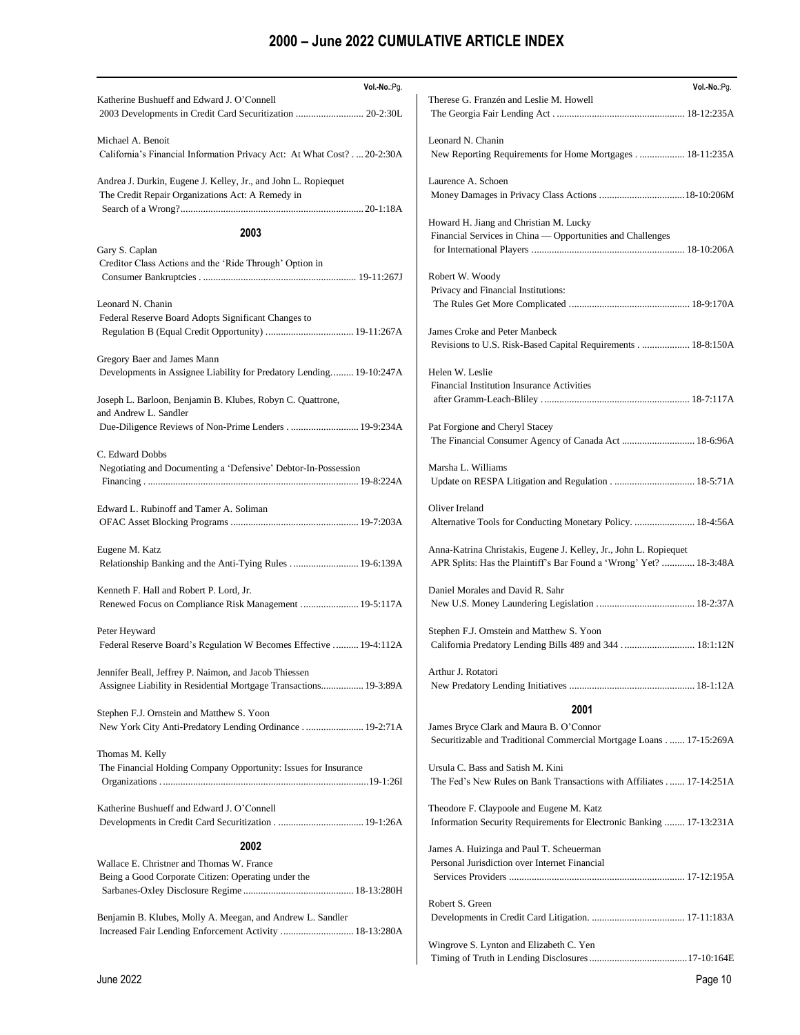| Vol .- No .: Pg.                                                       | Vol.-No.:Pg.                                                                                 |
|------------------------------------------------------------------------|----------------------------------------------------------------------------------------------|
| Katherine Bushueff and Edward J. O'Connell                             | Therese G. Franzén and Leslie M. Howell                                                      |
| 2003 Developments in Credit Card Securitization  20-2:30L              |                                                                                              |
| Michael A. Benoit                                                      | Leonard N. Chanin                                                                            |
| California's Financial Information Privacy Act: At What Cost? 20-2:30A | New Reporting Requirements for Home Mortgages 18-11:235A                                     |
| Andrea J. Durkin, Eugene J. Kelley, Jr., and John L. Ropiequet         | Laurence A. Schoen                                                                           |
| The Credit Repair Organizations Act: A Remedy in                       |                                                                                              |
|                                                                        |                                                                                              |
|                                                                        | Howard H. Jiang and Christian M. Lucky                                                       |
| 2003                                                                   | Financial Services in China — Opportunities and Challenges                                   |
| Gary S. Caplan                                                         |                                                                                              |
| Creditor Class Actions and the 'Ride Through' Option in                |                                                                                              |
|                                                                        | Robert W. Woody                                                                              |
|                                                                        | Privacy and Financial Institutions:                                                          |
| Leonard N. Chanin                                                      |                                                                                              |
| Federal Reserve Board Adopts Significant Changes to                    |                                                                                              |
|                                                                        | James Croke and Peter Manbeck<br>Revisions to U.S. Risk-Based Capital Requirements 18-8:150A |
| Gregory Baer and James Mann                                            |                                                                                              |
| Developments in Assignee Liability for Predatory Lending 19-10:247A    | Helen W. Leslie                                                                              |
|                                                                        | Financial Institution Insurance Activities                                                   |
| Joseph L. Barloon, Benjamin B. Klubes, Robyn C. Quattrone,             |                                                                                              |
| and Andrew L. Sandler                                                  |                                                                                              |
| Due-Diligence Reviews of Non-Prime Lenders 19-9:234A                   | Pat Forgione and Cheryl Stacey                                                               |
|                                                                        | The Financial Consumer Agency of Canada Act  18-6:96A                                        |
| C. Edward Dobbs                                                        | Marsha L. Williams                                                                           |
| Negotiating and Documenting a 'Defensive' Debtor-In-Possession         |                                                                                              |
|                                                                        |                                                                                              |
| Edward L. Rubinoff and Tamer A. Soliman                                | Oliver Ireland                                                                               |
|                                                                        | Alternative Tools for Conducting Monetary Policy.  18-4:56A                                  |
|                                                                        |                                                                                              |
| Eugene M. Katz                                                         | Anna-Katrina Christakis, Eugene J. Kelley, Jr., John L. Ropiequet                            |
| Relationship Banking and the Anti-Tying Rules  19-6:139A               | APR Splits: Has the Plaintiff's Bar Found a 'Wrong' Yet?  18-3:48A                           |
|                                                                        |                                                                                              |
| Kenneth F. Hall and Robert P. Lord, Jr.                                | Daniel Morales and David R. Sahr                                                             |
| Renewed Focus on Compliance Risk Management  19-5:117A                 |                                                                                              |
| Peter Heyward                                                          | Stephen F.J. Ornstein and Matthew S. Yoon                                                    |
| Federal Reserve Board's Regulation W Becomes Effective  19-4:112A      | California Predatory Lending Bills 489 and 344  18:1:12N                                     |
|                                                                        |                                                                                              |
| Jennifer Beall, Jeffrey P. Naimon, and Jacob Thiessen                  | Arthur J. Rotatori                                                                           |
| Assignee Liability in Residential Mortgage Transactions 19-3:89A       |                                                                                              |
|                                                                        |                                                                                              |
| Stephen F.J. Ornstein and Matthew S. Yoon                              | 2001                                                                                         |
| New York City Anti-Predatory Lending Ordinance  19-2:71A               | James Bryce Clark and Maura B. O'Connor                                                      |
|                                                                        | Securitizable and Traditional Commercial Mortgage Loans 17-15:269A                           |
| Thomas M. Kelly                                                        |                                                                                              |
| The Financial Holding Company Opportunity: Issues for Insurance        | Ursula C. Bass and Satish M. Kini                                                            |
|                                                                        | The Fed's New Rules on Bank Transactions with Affiliates  17-14:251A                         |
| Katherine Bushueff and Edward J. O'Connell                             | Theodore F. Claypoole and Eugene M. Katz                                                     |
|                                                                        | Information Security Requirements for Electronic Banking  17-13:231A                         |
|                                                                        |                                                                                              |
| 2002                                                                   | James A. Huizinga and Paul T. Scheuerman                                                     |
| Wallace E. Christner and Thomas W. France                              | Personal Jurisdiction over Internet Financial                                                |
| Being a Good Corporate Citizen: Operating under the                    |                                                                                              |
|                                                                        |                                                                                              |
|                                                                        | Robert S. Green                                                                              |
| Benjamin B. Klubes, Molly A. Meegan, and Andrew L. Sandler             |                                                                                              |
| Increased Fair Lending Enforcement Activity  18-13:280A                |                                                                                              |
|                                                                        | Wingrove S. Lynton and Elizabeth C. Yen                                                      |
|                                                                        |                                                                                              |